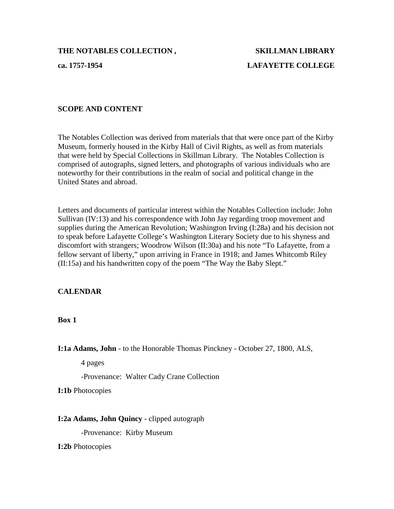# **ca. 1757-1954 LAFAYETTE COLLEGE**

#### **SCOPE AND CONTENT**

The Notables Collection was derived from materials that that were once part of the Kirby Museum, formerly housed in the Kirby Hall of Civil Rights, as well as from materials that were held by Special Collections in Skillman Library. The Notables Collection is comprised of autographs, signed letters, and photographs of various individuals who are noteworthy for their contributions in the realm of social and political change in the United States and abroad.

Letters and documents of particular interest within the Notables Collection include: John Sullivan (IV:13) and his correspondence with John Jay regarding troop movement and supplies during the American Revolution; Washington Irving (I:28a) and his decision not to speak before Lafayette College's Washington Literary Society due to his shyness and discomfort with strangers; Woodrow Wilson (II:30a) and his note "To Lafayette, from a fellow servant of liberty," upon arriving in France in 1918; and James Whitcomb Riley (II:15a) and his handwritten copy of the poem "The Way the Baby Slept."

#### **CALENDAR**

**Box 1**

**I:1a Adams, John** - to the Honorable Thomas Pinckney - October 27, 1800, ALS,

4 pages

-Provenance: Walter Cady Crane Collection

**I:1b** Photocopies

#### **I:2a Adams, John Quincy** - clipped autograph

-Provenance: Kirby Museum

**I:2b** Photocopies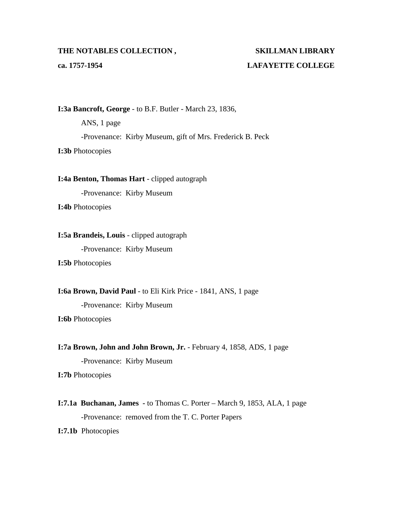**ca. 1757-1954 LAFAYETTE COLLEGE**

**I:3a Bancroft, George** - to B.F. Butler - March 23, 1836,

ANS, 1 page -Provenance: Kirby Museum, gift of Mrs. Frederick B. Peck **I:3b** Photocopies

**I:4a Benton, Thomas Hart** - clipped autograph

-Provenance: Kirby Museum

**I:4b** Photocopies

#### **I:5a Brandeis, Louis** - clipped autograph

-Provenance: Kirby Museum

**I:5b** Photocopies

**I:6a Brown, David Paul** - to Eli Kirk Price - 1841, ANS, 1 page

-Provenance: Kirby Museum

**I:6b** Photocopies

**I:7a Brown, John and John Brown, Jr.** - February 4, 1858, ADS, 1 page

-Provenance: Kirby Museum

**I:7b** Photocopies

**I:7.1a Buchanan, James -** to Thomas C. Porter – March 9, 1853, ALA, 1 page -Provenance: removed from the T. C. Porter Papers

**I:7.1b** Photocopies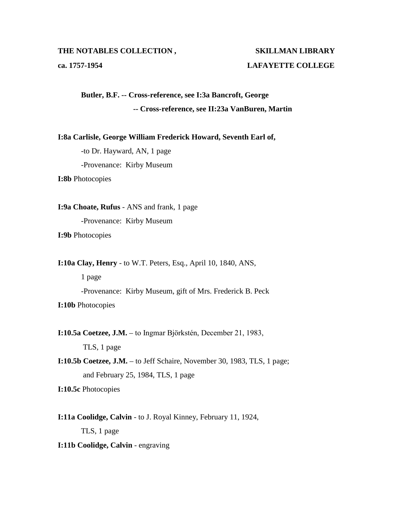### **ca. 1757-1954 LAFAYETTE COLLEGE**

**Butler, B.F. -- Cross-reference, see I:3a Bancroft, George -- Cross-reference, see II:23a VanBuren, Martin**

**I:8a Carlisle, George William Frederick Howard, Seventh Earl of,**

-to Dr. Hayward, AN, 1 page

-Provenance: Kirby Museum

**I:8b** Photocopies

**I:9a Choate, Rufus** - ANS and frank, 1 page -Provenance: Kirby Museum

**I:9b** Photocopies

**I:10a Clay, Henry** - to W.T. Peters, Esq., April 10, 1840, ANS,

1 page

-Provenance: Kirby Museum, gift of Mrs. Frederick B. Peck **I:10b** Photocopies

**I:10.5a Coetzee, J.M.** – to Ingmar Bjӧrkstén, December 21, 1983,

TLS, 1 page

**I:10.5b Coetzee, J.M.** – to Jeff Schaire, November 30, 1983, TLS, 1 page; and February 25, 1984, TLS, 1 page

**I:10.5c** Photocopies

**I:11a Coolidge, Calvin** - to J. Royal Kinney, February 11, 1924,

TLS, 1 page

**I:11b Coolidge, Calvin** - engraving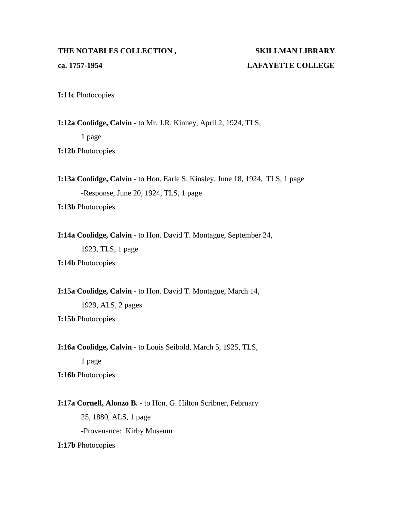## **ca. 1757-1954 LAFAYETTE COLLEGE**

**I:11c** Photocopies

**I:12a Coolidge, Calvin** - to Mr. J.R. Kinney, April 2, 1924, TLS,

1 page

**I:12b** Photocopies

**I:13a Coolidge, Calvin** - to Hon. Earle S. Kinsley, June 18, 1924, TLS, 1 page -Response, June 20, 1924, TLS, 1 page

**I:13b** Photocopies

**I:14a Coolidge, Calvin** - to Hon. David T. Montague, September 24, 1923, TLS, 1 page

**I:14b** Photocopies

**I:15a Coolidge, Calvin** - to Hon. David T. Montague, March 14,

1929, ALS, 2 pages

**I:15b** Photocopies

**I:16a Coolidge, Calvin** - to Louis Seibold, March 5, 1925, TLS,

1 page

**I:16b** Photocopies

**I:17a Cornell, Alonzo B.** - to Hon. G. Hilton Scribner, February 25, 1880, ALS, 1 page -Provenance: Kirby Museum **I:17b** Photocopies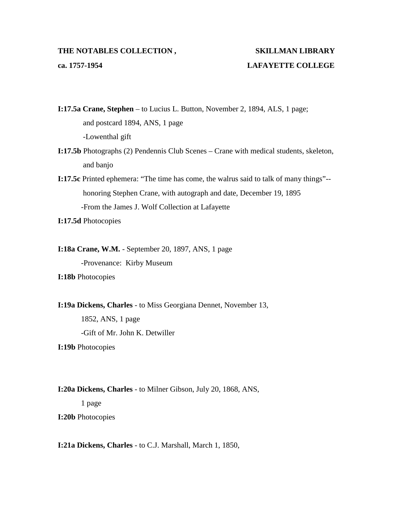### **ca. 1757-1954 LAFAYETTE COLLEGE**

**I:17.5a Crane, Stephen** – to Lucius L. Button, November 2, 1894, ALS, 1 page; and postcard 1894, ANS, 1 page -Lowenthal gift

- **I:17.5b** Photographs (2) Pendennis Club Scenes Crane with medical students, skeleton, and banjo
- **I:17.5c** Printed ephemera: "The time has come, the walrus said to talk of many things"- honoring Stephen Crane, with autograph and date, December 19, 1895 -From the James J. Wolf Collection at Lafayette

**I:17.5d** Photocopies

**I:18a Crane, W.M.** - September 20, 1897, ANS, 1 page

-Provenance: Kirby Museum

**I:18b** Photocopies

**I:19a Dickens, Charles** - to Miss Georgiana Dennet, November 13,

1852, ANS, 1 page -Gift of Mr. John K. Detwiller

**I:19b** Photocopies

**I:20a Dickens, Charles** - to Milner Gibson, July 20, 1868, ANS,

1 page

**I:20b** Photocopies

**I:21a Dickens, Charles** - to C.J. Marshall, March 1, 1850,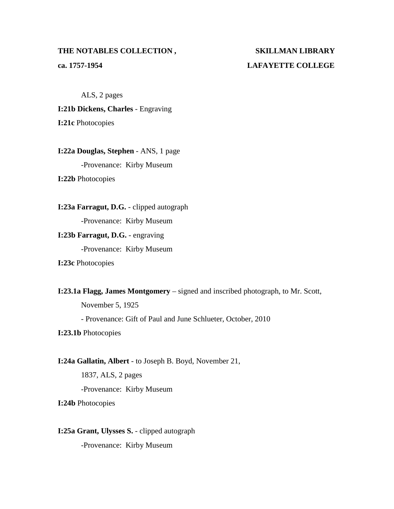# **ca. 1757-1954 LAFAYETTE COLLEGE**

ALS, 2 pages

**I:21b Dickens, Charles** - Engraving

**I:21c** Photocopies

**I:22a Douglas, Stephen** - ANS, 1 page -Provenance: Kirby Museum **I:22b** Photocopies

**I:23a Farragut, D.G.** - clipped autograph -Provenance: Kirby Museum

**I:23b Farragut, D.G.** - engraving -Provenance: Kirby Museum

**I:23c** Photocopies

**I:23.1a Flagg, James Montgomery** – signed and inscribed photograph, to Mr. Scott,

November 5, 1925

- Provenance: Gift of Paul and June Schlueter, October, 2010

**I:23.1b** Photocopies

**I:24a Gallatin, Albert** - to Joseph B. Boyd, November 21,

1837, ALS, 2 pages -Provenance: Kirby Museum

**I:24b** Photocopies

**I:25a Grant, Ulysses S.** - clipped autograph -Provenance: Kirby Museum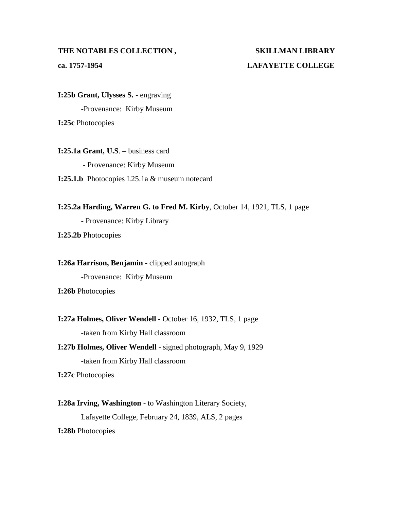# **ca. 1757-1954 LAFAYETTE COLLEGE**

**I:25b Grant, Ulysses S.** - engraving -Provenance: Kirby Museum **I:25c** Photocopies

**I:25.1a Grant, U.S**. – business card - Provenance: Kirby Museum **I:25.1.b** Photocopies I.25.1a & museum notecard

**I:25.2a Harding, Warren G. to Fred M. Kirby**, October 14, 1921, TLS, 1 page - Provenance: Kirby Library

**I:25.2b** Photocopies

**I:26a Harrison, Benjamin** - clipped autograph -Provenance: Kirby Museum

**I:26b** Photocopies

**I:27a Holmes, Oliver Wendell** - October 16, 1932, TLS, 1 page -taken from Kirby Hall classroom

**I:27b Holmes, Oliver Wendell** - signed photograph, May 9, 1929 -taken from Kirby Hall classroom

**I:27c** Photocopies

**I:28a Irving, Washington** - to Washington Literary Society,

Lafayette College, February 24, 1839, ALS, 2 pages

**I:28b** Photocopies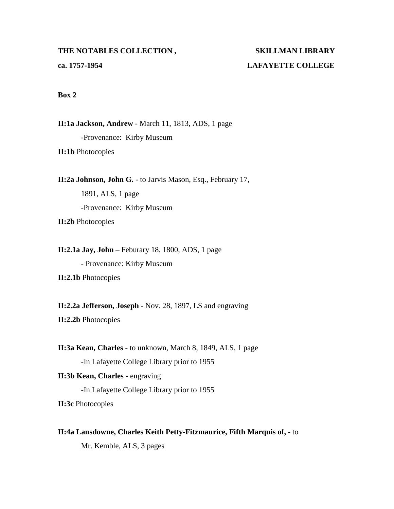## **ca. 1757-1954 LAFAYETTE COLLEGE**

#### **Box 2**

**II:1a Jackson, Andrew** - March 11, 1813, ADS, 1 page -Provenance: Kirby Museum **II:1b** Photocopies

**II:2a Johnson, John G.** - to Jarvis Mason, Esq., February 17,

1891, ALS, 1 page -Provenance: Kirby Museum **II:2b** Photocopies

**II:2.1a Jay, John** – Feburary 18, 1800, ADS, 1 page - Provenance: Kirby Museum

**II:2.1b** Photocopies

**II:2.2a Jefferson, Joseph** - Nov. 28, 1897, LS and engraving

**II:2.2b** Photocopies

**II:3a Kean, Charles** - to unknown, March 8, 1849, ALS, 1 page -In Lafayette College Library prior to 1955

**II:3b Kean, Charles** - engraving -In Lafayette College Library prior to 1955 **II:3c** Photocopies

**II:4a Lansdowne, Charles Keith Petty-Fitzmaurice, Fifth Marquis of,** - to

Mr. Kemble, ALS, 3 pages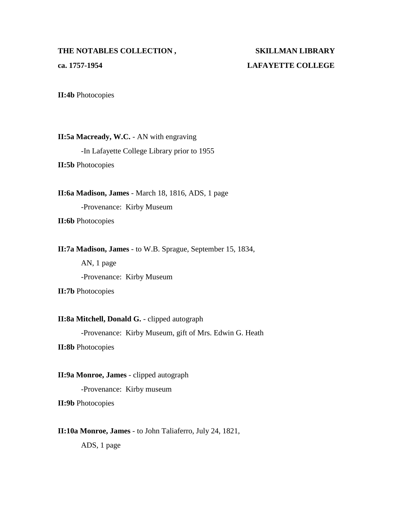# **ca. 1757-1954 LAFAYETTE COLLEGE**

**II:4b** Photocopies

**II:5a Macready, W.C.** - AN with engraving -In Lafayette College Library prior to 1955 **II:5b** Photocopies

**II:6a Madison, James** - March 18, 1816, ADS, 1 page -Provenance: Kirby Museum **II:6b** Photocopies

**II:7a Madison, James** - to W.B. Sprague, September 15, 1834,

AN, 1 page -Provenance: Kirby Museum

**II:7b** Photocopies

**II:8a Mitchell, Donald G.** - clipped autograph

-Provenance: Kirby Museum, gift of Mrs. Edwin G. Heath

**II:8b** Photocopies

**II:9a Monroe, James** - clipped autograph

-Provenance: Kirby museum

**II:9b** Photocopies

**II:10a Monroe, James** - to John Taliaferro, July 24, 1821,

ADS, 1 page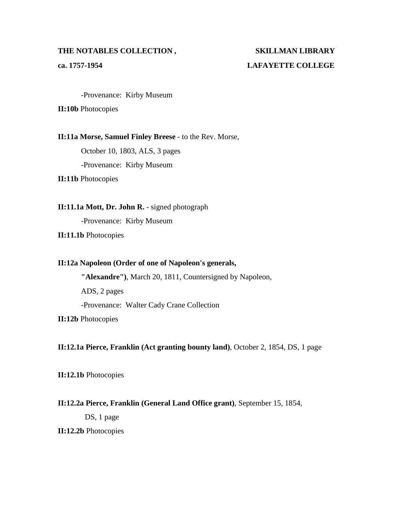## **ca. 1757-1954 LAFAYETTE COLLEGE**

-Provenance: Kirby Museum

**II:10b** Photocopies

**II:11a Morse, Samuel Finley Breese** - to the Rev. Morse,

October 10, 1803, ALS, 3 pages

-Provenance: Kirby Museum

**II:11b** Photocopies

**II:11.1a Mott, Dr. John R.** - signed photograph

-Provenance: Kirby Museum

**II:11.1b** Photocopies

### **II:12a Napoleon (Order of one of Napoleon's generals,**

**"Alexandre")**, March 20, 1811, Countersigned by Napoleon, ADS, 2 pages -Provenance: Walter Cady Crane Collection

**II:12b** Photocopies

**II:12.1a Pierce, Franklin (Act granting bounty land)**, October 2, 1854, DS, 1 page

**II:12.1b** Photocopies

### **II:12.2a Pierce, Franklin (General Land Office grant)**, September 15, 1854,

DS, 1 page

**II:12.2b** Photocopies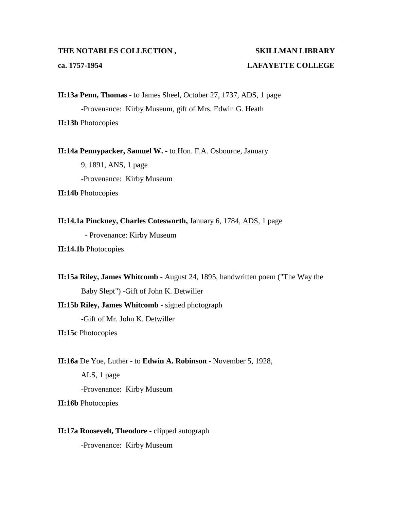## **ca. 1757-1954 LAFAYETTE COLLEGE**

**II:13a Penn, Thomas** - to James Sheel, October 27, 1737, ADS, 1 page -Provenance: Kirby Museum, gift of Mrs. Edwin G. Heath **II:13b** Photocopies

**II:14a Pennypacker, Samuel W.** - to Hon. F.A. Osbourne, January

9, 1891, ANS, 1 page -Provenance: Kirby Museum

**II:14b** Photocopies

**II:14.1a Pinckney, Charles Cotesworth,** January 6, 1784, ADS, 1 page - Provenance: Kirby Museum

**II:14.1b** Photocopies

**II:15a Riley, James Whitcomb** - August 24, 1895, handwritten poem ("The Way the Baby Slept") -Gift of John K. Detwiller **II:15b Riley, James Whitcomb** - signed photograph

-Gift of Mr. John K. Detwiller

**II:15c** Photocopies

**II:16a** De Yoe, Luther - to **Edwin A. Robinson** - November 5, 1928,

ALS, 1 page -Provenance: Kirby Museum

**II:16b** Photocopies

**II:17a Roosevelt, Theodore** - clipped autograph -Provenance: Kirby Museum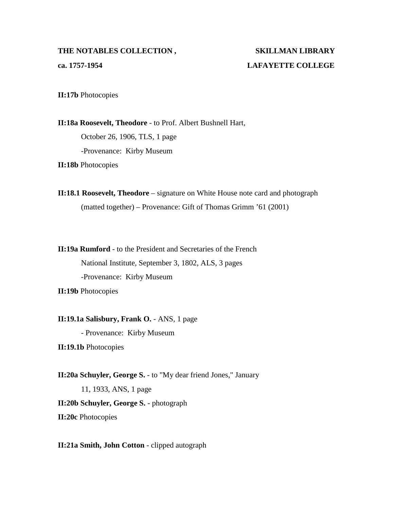### **THE NOTABLES COLLECTION , SKILLMAN LIBRARY ca. 1757-1954 LAFAYETTE COLLEGE**

**II:17b** Photocopies

**II:18a Roosevelt, Theodore** - to Prof. Albert Bushnell Hart, October 26, 1906, TLS, 1 page -Provenance: Kirby Museum **II:18b** Photocopies

**II:18.1 Roosevelt, Theodore** – signature on White House note card and photograph (matted together) – Provenance: Gift of Thomas Grimm '61 (2001)

**II:19a Rumford** - to the President and Secretaries of the French National Institute, September 3, 1802, ALS, 3 pages -Provenance: Kirby Museum

**II:19b** Photocopies

**II:19.1a Salisbury, Frank O.** - ANS, 1 page

- Provenance: Kirby Museum

**II:19.1b** Photocopies

**II:20a Schuyler, George S.** - to "My dear friend Jones," January

11, 1933, ANS, 1 page

**II:20b Schuyler, George S.** - photograph

**II:20c** Photocopies

**II:21a Smith, John Cotton** - clipped autograph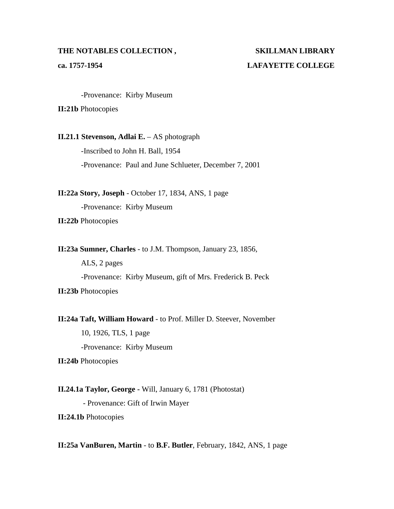## **ca. 1757-1954 LAFAYETTE COLLEGE**

-Provenance: Kirby Museum

**II:21b** Photocopies

**II.21.1 Stevenson, Adlai E.** – AS photograph

-Inscribed to John H. Ball, 1954 -Provenance: Paul and June Schlueter, December 7, 2001

**II:22a Story, Joseph** - October 17, 1834, ANS, 1 page -Provenance: Kirby Museum

**II:22b** Photocopies

**II:23a Sumner, Charles** - to J.M. Thompson, January 23, 1856,

ALS, 2 pages -Provenance: Kirby Museum, gift of Mrs. Frederick B. Peck **II:23b** Photocopies

**II:24a Taft, William Howard** - to Prof. Miller D. Steever, November 10, 1926, TLS, 1 page -Provenance: Kirby Museum

**II:24b** Photocopies

**II.24.1a Taylor, George -** Will, January 6, 1781 (Photostat) - Provenance: Gift of Irwin Mayer **II:24.1b** Photocopies

**II:25a VanBuren, Martin** - to **B.F. Butler**, February, 1842, ANS, 1 page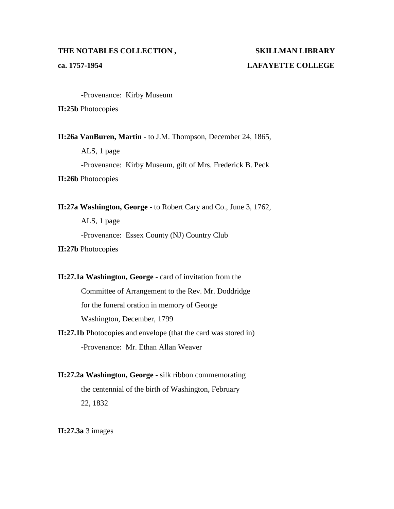## **ca. 1757-1954 LAFAYETTE COLLEGE**

-Provenance: Kirby Museum

**II:25b** Photocopies

**II:26a VanBuren, Martin** - to J.M. Thompson, December 24, 1865, ALS, 1 page -Provenance: Kirby Museum, gift of Mrs. Frederick B. Peck **II:26b** Photocopies

**II:27a Washington, George** - to Robert Cary and Co., June 3, 1762, ALS, 1 page -Provenance: Essex County (NJ) Country Club

**II:27b** Photocopies

**II:27.1a Washington, George** - card of invitation from the Committee of Arrangement to the Rev. Mr. Doddridge for the funeral oration in memory of George Washington, December, 1799

**II:27.1b** Photocopies and envelope (that the card was stored in) -Provenance: Mr. Ethan Allan Weaver

**II:27.2a Washington, George** - silk ribbon commemorating the centennial of the birth of Washington, February 22, 1832

**II:27.3a** 3 images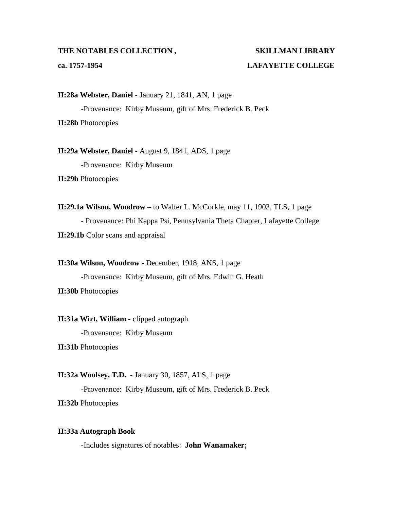## **ca. 1757-1954 LAFAYETTE COLLEGE**

**II:28a Webster, Daniel** - January 21, 1841, AN, 1 page -Provenance: Kirby Museum, gift of Mrs. Frederick B. Peck **II:28b** Photocopies

**II:29a Webster, Daniel** - August 9, 1841, ADS, 1 page -Provenance: Kirby Museum **II:29b** Photocopies

**II:29.1a Wilson, Woodrow** – to Walter L. McCorkle, may 11, 1903, TLS, 1 page - Provenance: Phi Kappa Psi, Pennsylvania Theta Chapter, Lafayette College **II:29.1b** Color scans and appraisal

**II:30a Wilson, Woodrow** - December, 1918, ANS, 1 page -Provenance: Kirby Museum, gift of Mrs. Edwin G. Heath **II:30b** Photocopies

**II:31a Wirt, William** - clipped autograph -Provenance: Kirby Museum

**II:31b** Photocopies

**II:32a Woolsey, T.D.** - January 30, 1857, ALS, 1 page -Provenance: Kirby Museum, gift of Mrs. Frederick B. Peck **II:32b** Photocopies

#### **II:33a Autograph Book**

**-**Includes signatures of notables: **John Wanamaker;**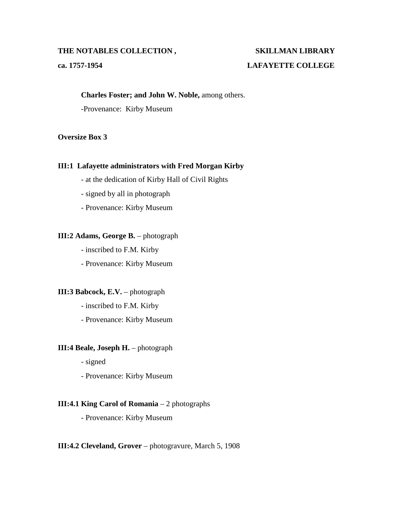## **ca. 1757-1954 LAFAYETTE COLLEGE**

#### **Charles Foster; and John W. Noble,** among others.

-Provenance: Kirby Museum

#### **Oversize Box 3**

#### **III:1 Lafayette administrators with Fred Morgan Kirby**

- at the dedication of Kirby Hall of Civil Rights
- signed by all in photograph
- Provenance: Kirby Museum

#### **III:2 Adams, George B.** – photograph

- inscribed to F.M. Kirby
- Provenance: Kirby Museum

#### **III:3 Babcock, E.V.** – photograph

- inscribed to F.M. Kirby
- Provenance: Kirby Museum

#### **III:4 Beale, Joseph H.** – photograph

- signed
- Provenance: Kirby Museum

#### **III:4.1 King Carol of Romania** – 2 photographs

- Provenance: Kirby Museum

#### **III:4.2 Cleveland, Grover** – photogravure, March 5, 1908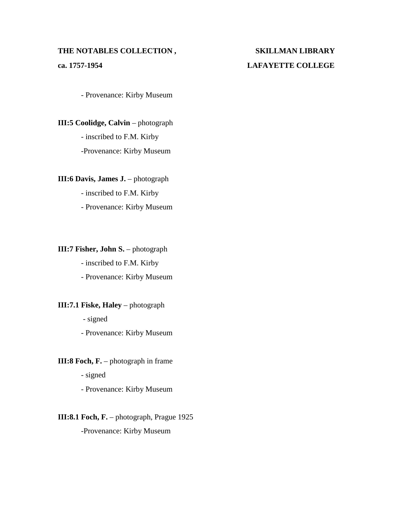### **THE NOTABLES COLLECTION , SKILLMAN LIBRARY ca. 1757-1954 LAFAYETTE COLLEGE**

- Provenance: Kirby Museum

**III:5 Coolidge, Calvin** – photograph - inscribed to F.M. Kirby -Provenance: Kirby Museum

**III:6 Davis, James J.** – photograph

- inscribed to F.M. Kirby

- Provenance: Kirby Museum

**III:7 Fisher, John S.** – photograph

- inscribed to F.M. Kirby

- Provenance: Kirby Museum

#### **III:7.1 Fiske, Haley** – photograph

- signed

- Provenance: Kirby Museum

### **III:8 Foch, F.** – photograph in frame

- signed

- Provenance: Kirby Museum

### **III:8.1 Foch, F.** – photograph, Prague 1925

-Provenance: Kirby Museum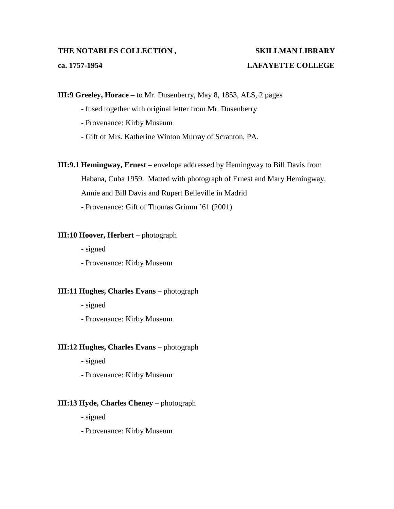### **ca. 1757-1954 LAFAYETTE COLLEGE**

**III:9 Greeley, Horace** – to Mr. Dusenberry, May 8, 1853, ALS, 2 pages

- fused together with original letter from Mr. Dusenberry
- Provenance: Kirby Museum
- Gift of Mrs. Katherine Winton Murray of Scranton, PA.

**III:9.1 Hemingway, Ernest** – envelope addressed by Hemingway to Bill Davis from Habana, Cuba 1959. Matted with photograph of Ernest and Mary Hemingway,

Annie and Bill Davis and Rupert Belleville in Madrid

- Provenance: Gift of Thomas Grimm '61 (2001)

#### **III:10 Hoover, Herbert** – photograph

- signed

- Provenance: Kirby Museum

#### **III:11 Hughes, Charles Evans** – photograph

- signed

- Provenance: Kirby Museum

#### **III:12 Hughes, Charles Evans** – photograph

- signed
- Provenance: Kirby Museum

#### **III:13 Hyde, Charles Cheney** – photograph

- signed

- Provenance: Kirby Museum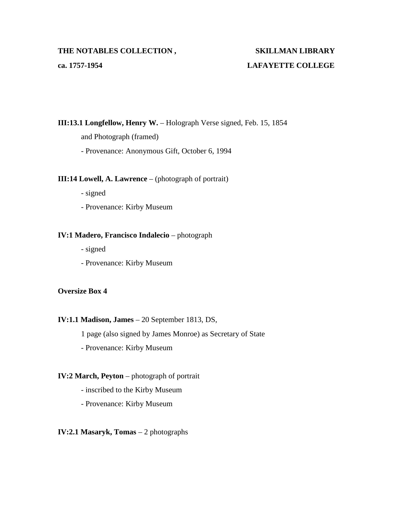## **ca. 1757-1954 LAFAYETTE COLLEGE**

**III:13.1 Longfellow, Henry W.** – Holograph Verse signed, Feb. 15, 1854

and Photograph (framed)

- Provenance: Anonymous Gift, October 6, 1994

#### **III:14 Lowell, A. Lawrence** – (photograph of portrait)

- signed

- Provenance: Kirby Museum

#### **IV:1 Madero, Francisco Indalecio** – photograph

- signed

- Provenance: Kirby Museum

#### **Oversize Box 4**

#### **IV:1.1 Madison, James** – 20 September 1813, DS,

1 page (also signed by James Monroe) as Secretary of State

- Provenance: Kirby Museum

#### **IV:2 March, Peyton** – photograph of portrait

- inscribed to the Kirby Museum
- Provenance: Kirby Museum

#### **IV:2.1 Masaryk, Tomas** – 2 photographs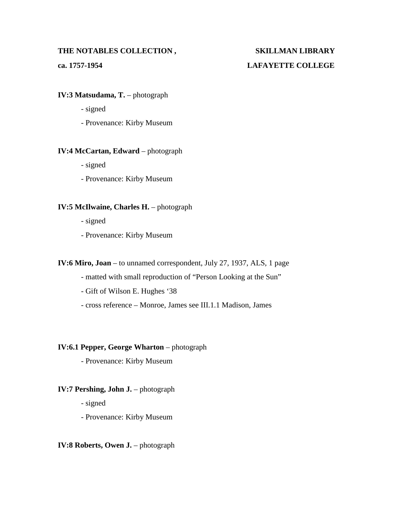## **ca. 1757-1954 LAFAYETTE COLLEGE**

#### **IV:3 Matsudama, T.** – photograph

- signed
- Provenance: Kirby Museum

#### **IV:4 McCartan, Edward** – photograph

- signed
- Provenance: Kirby Museum

#### **IV:5 McIlwaine, Charles H.** – photograph

- signed
- Provenance: Kirby Museum

#### **IV:6 Miro, Joan** – to unnamed correspondent, July 27, 1937, ALS, 1 page

- matted with small reproduction of "Person Looking at the Sun"
- Gift of Wilson E. Hughes '38
- cross reference Monroe, James see III.1.1 Madison, James

#### **IV:6.1 Pepper, George Wharton** – photograph

- Provenance: Kirby Museum

#### **IV:7 Pershing, John J.** – photograph

- signed
- Provenance: Kirby Museum

#### **IV:8 Roberts, Owen J.** – photograph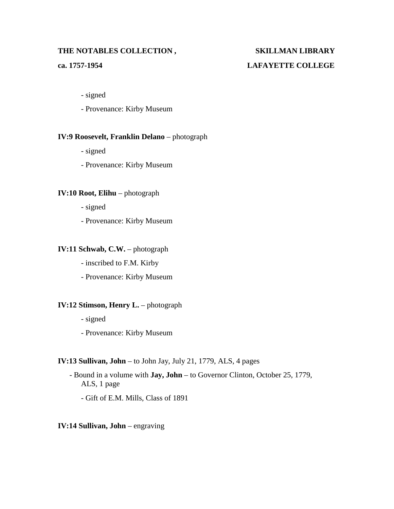# **ca. 1757-1954 LAFAYETTE COLLEGE**

- signed
- Provenance: Kirby Museum

### **IV:9 Roosevelt, Franklin Delano** – photograph

- signed
- Provenance: Kirby Museum

#### **IV:10 Root, Elihu** – photograph

- signed
- Provenance: Kirby Museum

#### **IV:11 Schwab, C.W. – photograph**

- inscribed to F.M. Kirby
- Provenance: Kirby Museum

#### **IV:12 Stimson, Henry L.** – photograph

- signed
- Provenance: Kirby Museum

#### **IV:13 Sullivan, John** – to John Jay, July 21, 1779, ALS, 4 pages

- Bound in a volume with **Jay, John** to Governor Clinton, October 25, 1779, ALS, 1 page
	- Gift of E.M. Mills, Class of 1891

#### **IV:14 Sullivan, John** – engraving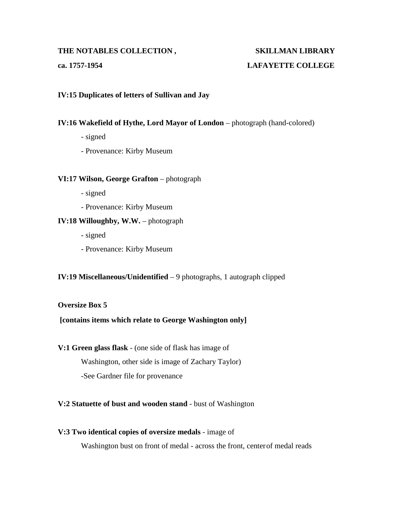## **ca. 1757-1954 LAFAYETTE COLLEGE**

#### **IV:15 Duplicates of letters of Sullivan and Jay**

#### **IV:16 Wakefield of Hythe, Lord Mayor of London** – photograph (hand-colored)

- signed
- Provenance: Kirby Museum

#### **VI:17 Wilson, George Grafton** – photograph

- signed
- Provenance: Kirby Museum

#### **IV:18 Willoughby, W.W.** – photograph

- signed
- Provenance: Kirby Museum

### **IV:19 Miscellaneous/Unidentified** – 9 photographs, 1 autograph clipped

#### **Oversize Box 5**

### **[contains items which relate to George Washington only]**

**V:1 Green glass flask** - (one side of flask has image of

Washington, other side is image of Zachary Taylor)

-See Gardner file for provenance

### **V:2 Statuette of bust and wooden stand** - bust of Washington

### **V:3 Two identical copies of oversize medals** - image of

Washington bust on front of medal - across the front, centerof medal reads